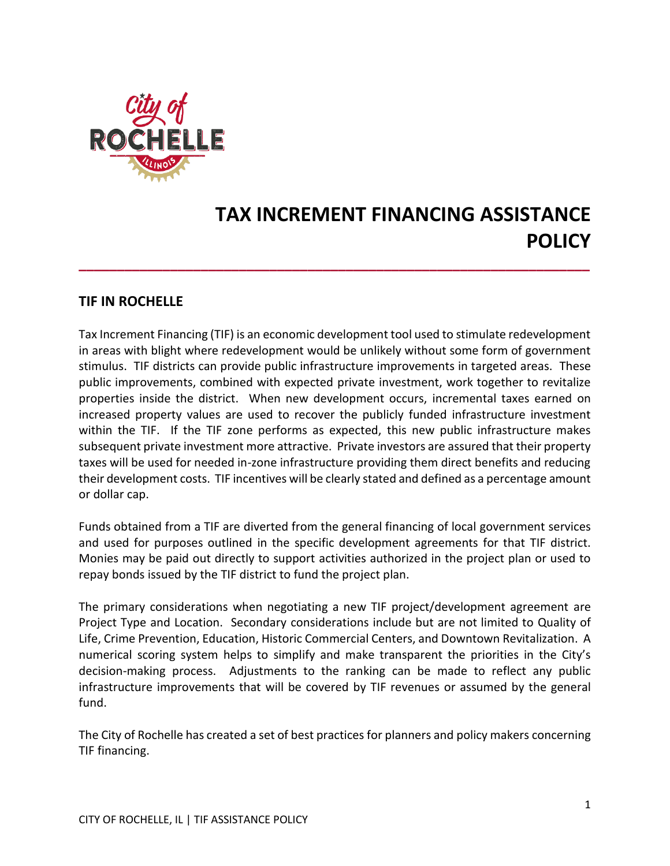

# **TAX INCREMENT FINANCING ASSISTANCE POLICY**

# **TIF IN ROCHELLE**

Tax Increment Financing (TIF) is an economic development tool used to stimulate redevelopment in areas with blight where redevelopment would be unlikely without some form of government stimulus. TIF districts can provide public infrastructure improvements in targeted areas. These public improvements, combined with expected private investment, work together to revitalize properties inside the district. When new development occurs, incremental taxes earned on increased property values are used to recover the publicly funded infrastructure investment within the TIF. If the TIF zone performs as expected, this new public infrastructure makes subsequent private investment more attractive. Private investors are assured that their property taxes will be used for needed in-zone infrastructure providing them direct benefits and reducing their development costs. TIF incentives will be clearly stated and defined as a percentage amount or dollar cap.

**\_\_\_\_\_\_\_\_\_\_\_\_\_\_\_\_\_\_\_\_\_\_\_\_\_\_\_\_\_\_\_\_\_\_\_\_\_\_\_\_\_\_\_\_\_\_\_\_\_\_\_\_\_\_\_\_\_\_\_\_\_\_\_\_\_\_\_**

Funds obtained from a TIF are diverted from the general financing of local government services and used for purposes outlined in the specific development agreements for that TIF district. Monies may be paid out directly to support activities authorized in the project plan or used to repay bonds issued by the TIF district to fund the project plan.

The primary considerations when negotiating a new TIF project/development agreement are Project Type and Location. Secondary considerations include but are not limited to Quality of Life, Crime Prevention, Education, Historic Commercial Centers, and Downtown Revitalization. A numerical scoring system helps to simplify and make transparent the priorities in the City's decision-making process. Adjustments to the ranking can be made to reflect any public infrastructure improvements that will be covered by TIF revenues or assumed by the general fund.

The City of Rochelle has created a set of best practices for planners and policy makers concerning TIF financing.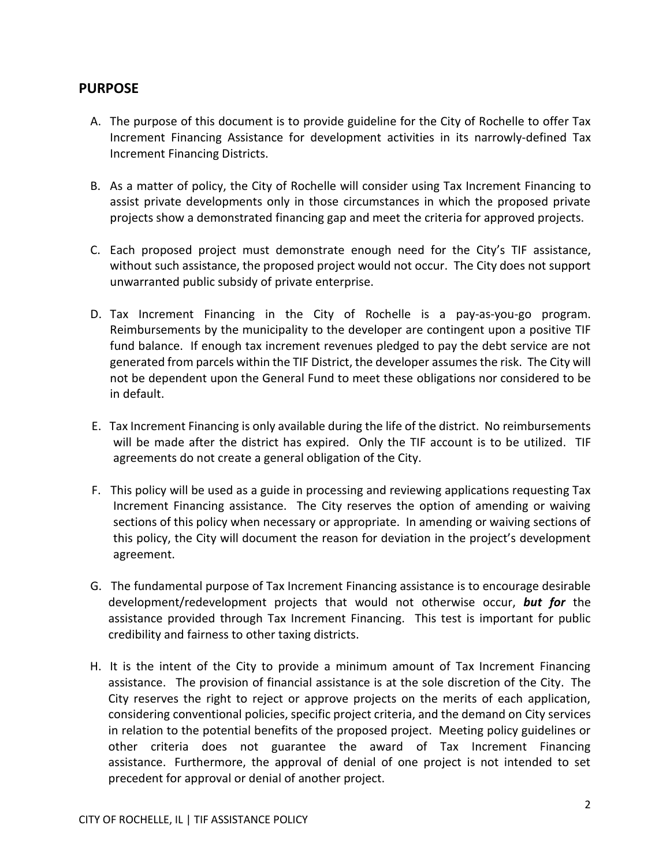## **PURPOSE**

- A. The purpose of this document is to provide guideline for the City of Rochelle to offer Tax Increment Financing Assistance for development activities in its narrowly-defined Tax Increment Financing Districts.
- B. As a matter of policy, the City of Rochelle will consider using Tax Increment Financing to assist private developments only in those circumstances in which the proposed private projects show a demonstrated financing gap and meet the criteria for approved projects.
- C. Each proposed project must demonstrate enough need for the City's TIF assistance, without such assistance, the proposed project would not occur. The City does not support unwarranted public subsidy of private enterprise.
- D. Tax Increment Financing in the City of Rochelle is a pay-as-you-go program. Reimbursements by the municipality to the developer are contingent upon a positive TIF fund balance. If enough tax increment revenues pledged to pay the debt service are not generated from parcels within the TIF District, the developer assumes the risk. The City will not be dependent upon the General Fund to meet these obligations nor considered to be in default.
- E. Tax Increment Financing is only available during the life of the district. No reimbursements will be made after the district has expired. Only the TIF account is to be utilized. TIF agreements do not create a general obligation of the City.
- F. This policy will be used as a guide in processing and reviewing applications requesting Tax Increment Financing assistance. The City reserves the option of amending or waiving sections of this policy when necessary or appropriate. In amending or waiving sections of this policy, the City will document the reason for deviation in the project's development agreement.
- G. The fundamental purpose of Tax Increment Financing assistance is to encourage desirable development/redevelopment projects that would not otherwise occur, *but for* the assistance provided through Tax Increment Financing. This test is important for public credibility and fairness to other taxing districts.
- H. It is the intent of the City to provide a minimum amount of Tax Increment Financing assistance. The provision of financial assistance is at the sole discretion of the City. The City reserves the right to reject or approve projects on the merits of each application, considering conventional policies, specific project criteria, and the demand on City services in relation to the potential benefits of the proposed project. Meeting policy guidelines or other criteria does not guarantee the award of Tax Increment Financing assistance. Furthermore, the approval of denial of one project is not intended to set precedent for approval or denial of another project.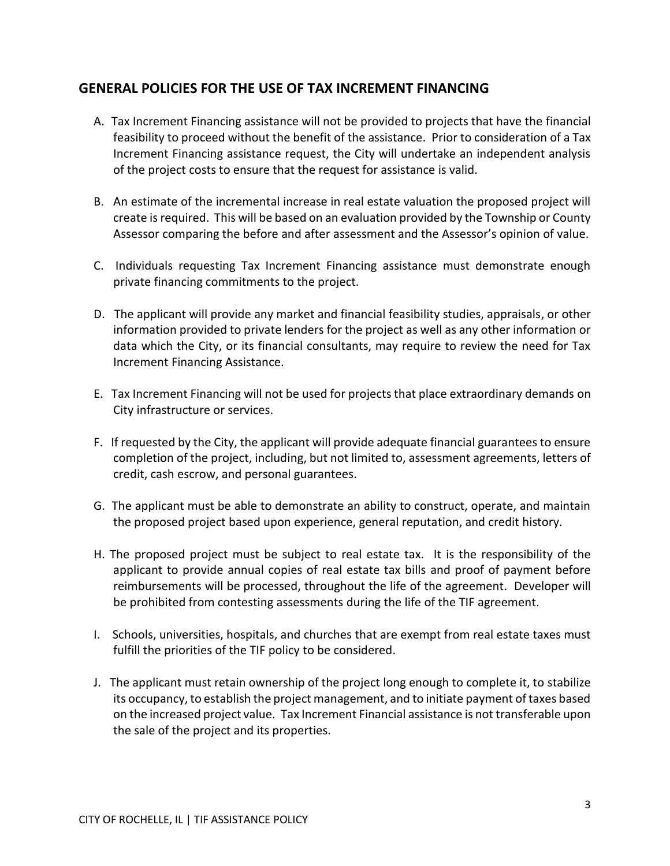# **GENERAL POLICIES FOR THE USE OF TAX INCREMENT FINANCING**

- A. Tax Increment Financing assistance will not be provided to projects that have the financial feasibility to proceed without the benefit of the assistance. Prior to consideration of a Tax Increment Financing assistance request, the City will undertake an independent analysis of the project costs to ensure that the request for assistance is valid.
- B. An estimate of the incremental increase in real estate valuation the proposed project will create is required. This will be based on an evaluation provided by the Township or County Assessor comparing the before and after assessment and the Assessor's opinion of value.
- C. Individuals requesting Tax Increment Financing assistance must demonstrate enough private financing commitments to the project.
- D. The applicant will provide any market and financial feasibility studies, appraisals, or other information provided to private lenders for the project as well as any other information or data which the City, or its financial consultants, may require to review the need for Tax Increment Financing Assistance.
- E. Tax Increment Financing will not be used for projects that place extraordinary demands on City infrastructure or services.
- F. If requested by the City, the applicant will provide adequate financial guarantees to ensure completion of the project, including, but not limited to, assessment agreements, letters of credit, cash escrow, and personal guarantees.
- G. The applicant must be able to demonstrate an ability to construct, operate, and maintain the proposed project based upon experience, general reputation, and credit history.
- H. The proposed project must be subject to real estate tax. It is the responsibility of the applicant to provide annual copies of real estate tax bills and proof of payment before reimbursements will be processed, throughout the life of the agreement. Developer will be prohibited from contesting assessments during the life of the TIF agreement.
- I. Schools, universities, hospitals, and churches that are exempt from real estate taxes must fulfill the priorities of the TIF policy to be considered.
- J. The applicant must retain ownership of the project long enough to complete it, to stabilize its occupancy, to establish the project management, and to initiate payment of taxes based on the increased project value. Tax Increment Financial assistance is not transferable upon the sale of the project and its properties.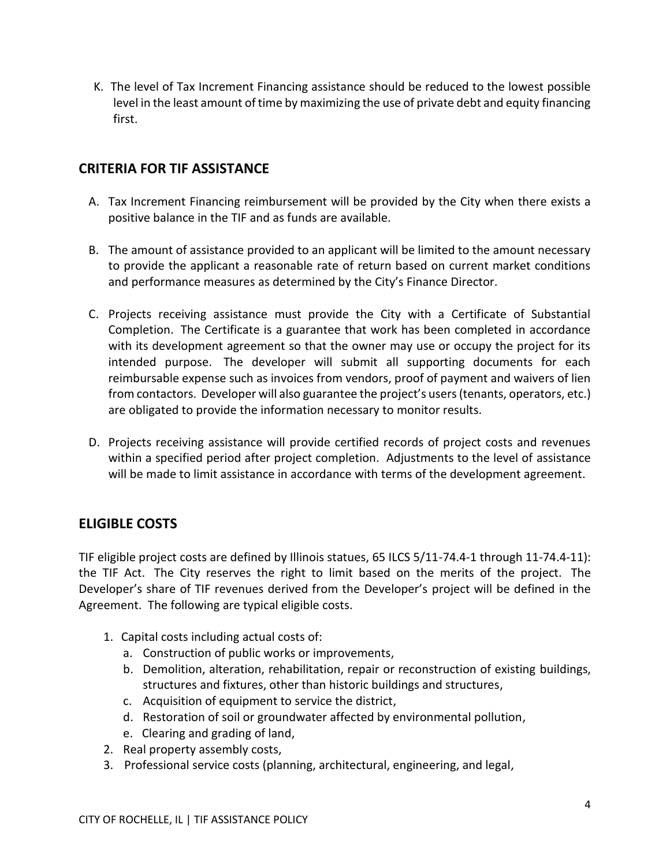K. The level of Tax Increment Financing assistance should be reduced to the lowest possible level in the least amount of time by maximizing the use of private debt and equity financing first.

# **CRITERIA FOR TIF ASSISTANCE**

- A. Tax Increment Financing reimbursement will be provided by the City when there exists a positive balance in the TIF and as funds are available.
- B. The amount of assistance provided to an applicant will be limited to the amount necessary to provide the applicant a reasonable rate of return based on current market conditions and performance measures as determined by the City's Finance Director.
- C. Projects receiving assistance must provide the City with a Certificate of Substantial Completion. The Certificate is a guarantee that work has been completed in accordance with its development agreement so that the owner may use or occupy the project for its intended purpose. The developer will submit all supporting documents for each reimbursable expense such as invoices from vendors, proof of payment and waivers of lien from contactors. Developer will also guarantee the project's users (tenants, operators, etc.) are obligated to provide the information necessary to monitor results.
- D. Projects receiving assistance will provide certified records of project costs and revenues within a specified period after project completion. Adjustments to the level of assistance will be made to limit assistance in accordance with terms of the development agreement.

# **ELIGIBLE COSTS**

TIF eligible project costs are defined by Illinois statues, 65 ILCS 5/11-74.4-1 through 11-74.4-11): the TIF Act. The City reserves the right to limit based on the merits of the project. The Developer's share of TIF revenues derived from the Developer's project will be defined in the Agreement. The following are typical eligible costs.

- 1. Capital costs including actual costs of:
	- a. Construction of public works or improvements,
	- b. Demolition, alteration, rehabilitation, repair or reconstruction of existing buildings, structures and fixtures, other than historic buildings and structures,
	- c. Acquisition of equipment to service the district,
	- d. Restoration of soil or groundwater affected by environmental pollution,
	- e. Clearing and grading of land,
- 2. Real property assembly costs,
- 3. Professional service costs (planning, architectural, engineering, and legal,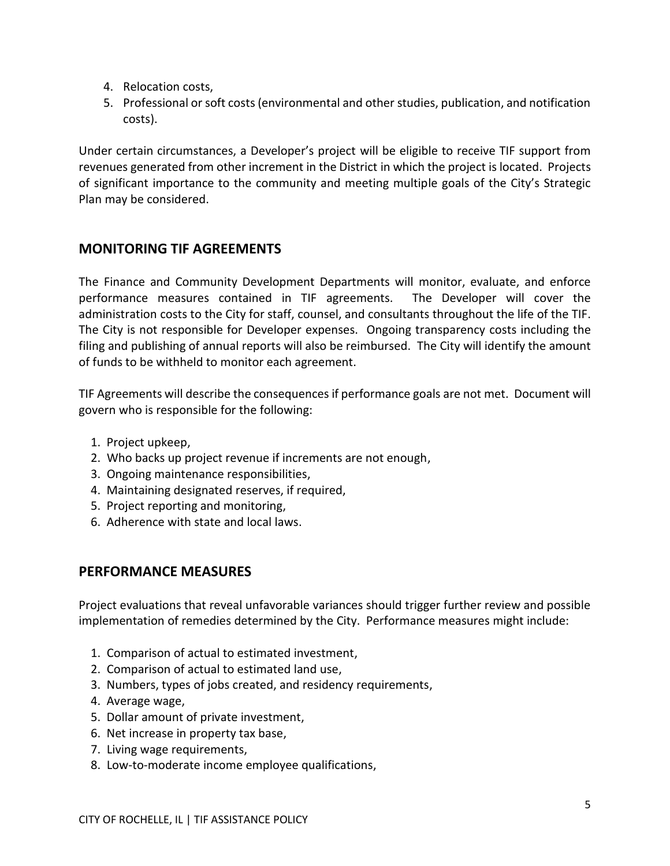- 4. Relocation costs,
- 5. Professional or soft costs (environmental and other studies, publication, and notification costs).

Under certain circumstances, a Developer's project will be eligible to receive TIF support from revenues generated from other increment in the District in which the project is located. Projects of significant importance to the community and meeting multiple goals of the City's Strategic Plan may be considered.

# **MONITORING TIF AGREEMENTS**

The Finance and Community Development Departments will monitor, evaluate, and enforce performance measures contained in TIF agreements. The Developer will cover the administration costs to the City for staff, counsel, and consultants throughout the life of the TIF. The City is not responsible for Developer expenses. Ongoing transparency costs including the filing and publishing of annual reports will also be reimbursed. The City will identify the amount of funds to be withheld to monitor each agreement.

TIF Agreements will describe the consequences if performance goals are not met. Document will govern who is responsible for the following:

- 1. Project upkeep,
- 2. Who backs up project revenue if increments are not enough,
- 3. Ongoing maintenance responsibilities,
- 4. Maintaining designated reserves, if required,
- 5. Project reporting and monitoring,
- 6. Adherence with state and local laws.

# **PERFORMANCE MEASURES**

Project evaluations that reveal unfavorable variances should trigger further review and possible implementation of remedies determined by the City. Performance measures might include:

- 1. Comparison of actual to estimated investment,
- 2. Comparison of actual to estimated land use,
- 3. Numbers, types of jobs created, and residency requirements,
- 4. Average wage,
- 5. Dollar amount of private investment,
- 6. Net increase in property tax base,
- 7. Living wage requirements,
- 8. Low-to-moderate income employee qualifications,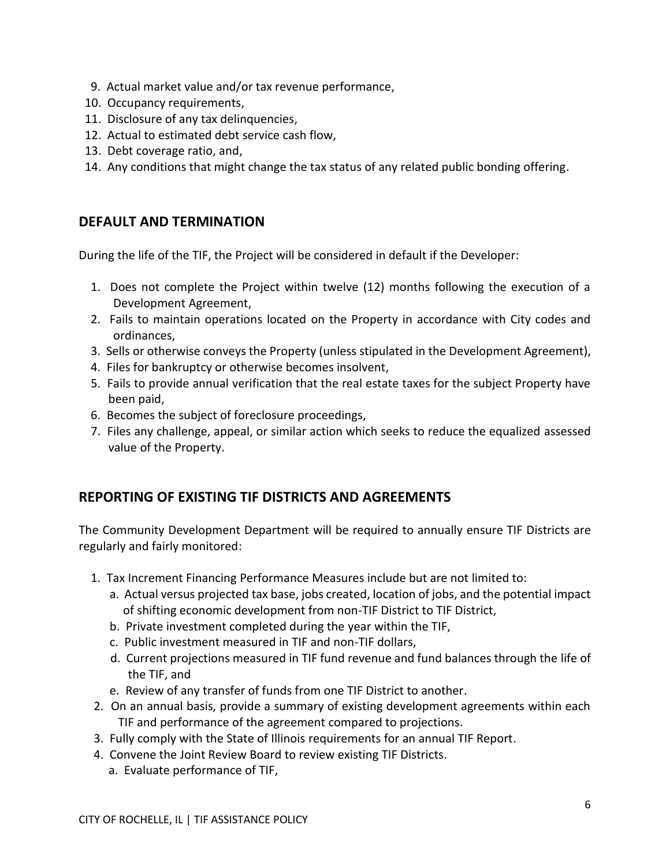- 9. Actual market value and/or tax revenue performance,
- 10. Occupancy requirements,
- 11. Disclosure of any tax delinquencies,
- 12. Actual to estimated debt service cash flow,
- 13. Debt coverage ratio, and,
- 14. Any conditions that might change the tax status of any related public bonding offering.

# **DEFAULT AND TERMINATION**

During the life of the TIF, the Project will be considered in default if the Developer:

- 1. Does not complete the Project within twelve (12) months following the execution of a Development Agreement,
- 2. Fails to maintain operations located on the Property in accordance with City codes and ordinances,
- 3. Sells or otherwise conveys the Property (unless stipulated in the Development Agreement),
- 4. Files for bankruptcy or otherwise becomes insolvent,
- 5. Fails to provide annual verification that the real estate taxes for the subject Property have been paid,
- 6. Becomes the subject of foreclosure proceedings,
- 7. Files any challenge, appeal, or similar action which seeks to reduce the equalized assessed value of the Property.

# **REPORTING OF EXISTING TIF DISTRICTS AND AGREEMENTS**

The Community Development Department will be required to annually ensure TIF Districts are regularly and fairly monitored:

- 1. Tax Increment Financing Performance Measures include but are not limited to:
	- a. Actual versus projected tax base, jobs created, location of jobs, and the potential impact of shifting economic development from non-TIF District to TIF District,
	- b. Private investment completed during the year within the TIF,
	- c. Public investment measured in TIF and non-TIF dollars,
	- d. Current projections measured in TIF fund revenue and fund balances through the life of the TIF, and
	- e. Review of any transfer of funds from one TIF District to another.
- 2. On an annual basis, provide a summary of existing development agreements within each TIF and performance of the agreement compared to projections.
- 3. Fully comply with the State of Illinois requirements for an annual TIF Report.
- 4. Convene the Joint Review Board to review existing TIF Districts.
	- a. Evaluate performance of TIF,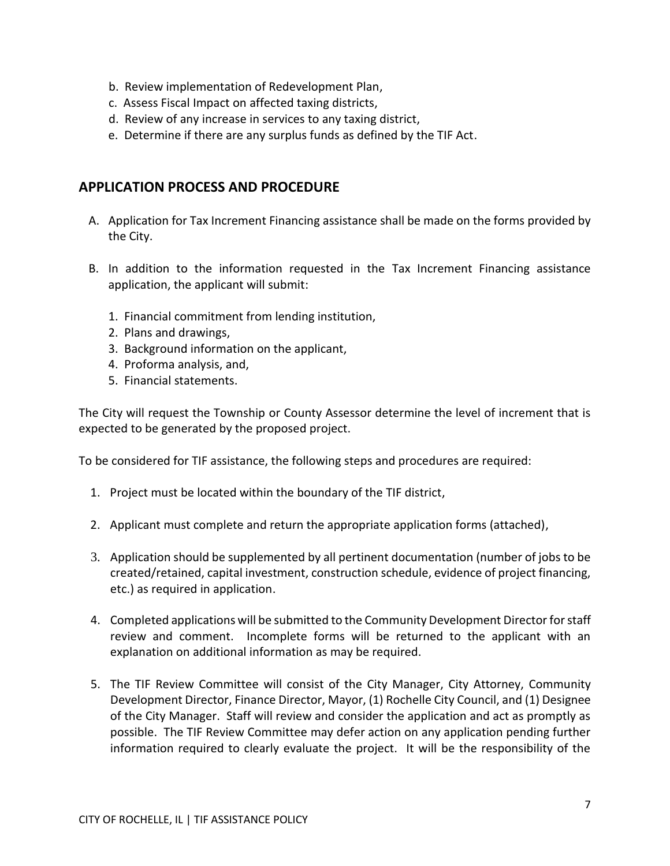- b. Review implementation of Redevelopment Plan,
- c. Assess Fiscal Impact on affected taxing districts,
- d. Review of any increase in services to any taxing district,
- e. Determine if there are any surplus funds as defined by the TIF Act.

## **APPLICATION PROCESS AND PROCEDURE**

- A. Application for Tax Increment Financing assistance shall be made on the forms provided by the City.
- B. In addition to the information requested in the Tax Increment Financing assistance application, the applicant will submit:
	- 1. Financial commitment from lending institution,
	- 2. Plans and drawings,
	- 3. Background information on the applicant,
	- 4. Proforma analysis, and,
	- 5. Financial statements.

The City will request the Township or County Assessor determine the level of increment that is expected to be generated by the proposed project.

To be considered for TIF assistance, the following steps and procedures are required:

- 1. Project must be located within the boundary of the TIF district,
- 2. Applicant must complete and return the appropriate application forms (attached),
- 3. Application should be supplemented by all pertinent documentation (number of jobs to be created/retained, capital investment, construction schedule, evidence of project financing, etc.) as required in application.
- 4. Completed applications will be submitted to the Community Development Director for staff review and comment. Incomplete forms will be returned to the applicant with an explanation on additional information as may be required.
- 5. The TIF Review Committee will consist of the City Manager, City Attorney, Community Development Director, Finance Director, Mayor, (1) Rochelle City Council, and (1) Designee of the City Manager. Staff will review and consider the application and act as promptly as possible. The TIF Review Committee may defer action on any application pending further information required to clearly evaluate the project. It will be the responsibility of the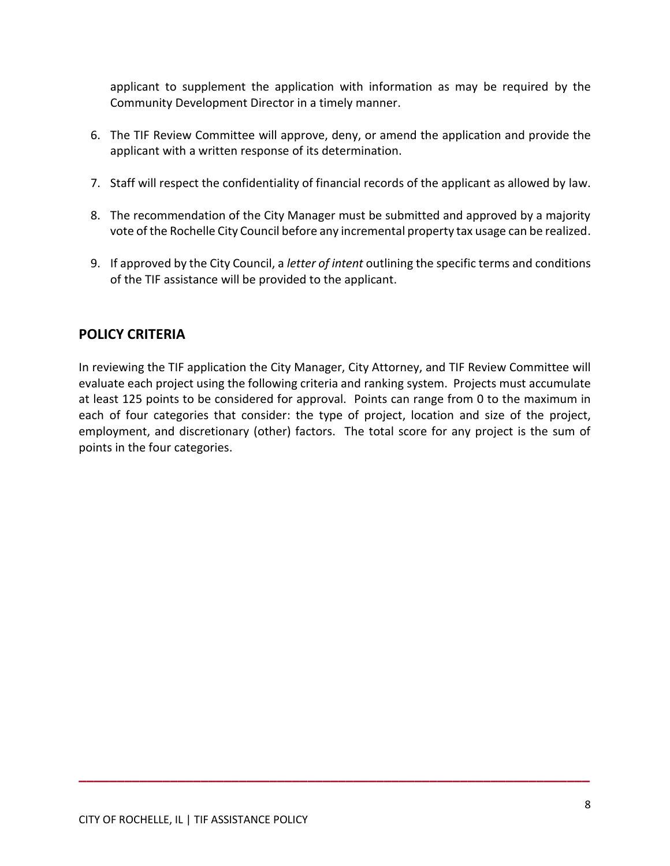applicant to supplement the application with information as may be required by the Community Development Director in a timely manner.

- 6. The TIF Review Committee will approve, deny, or amend the application and provide the applicant with a written response of its determination.
- 7. Staff will respect the confidentiality of financial records of the applicant as allowed by law.
- 8. The recommendation of the City Manager must be submitted and approved by a majority vote of the Rochelle City Council before any incremental property tax usage can be realized.
- 9. If approved by the City Council, a *letter of intent* outlining the specific terms and conditions of the TIF assistance will be provided to the applicant.

# **POLICY CRITERIA**

In reviewing the TIF application the City Manager, City Attorney, and TIF Review Committee will evaluate each project using the following criteria and ranking system. Projects must accumulate at least 125 points to be considered for approval. Points can range from 0 to the maximum in each of four categories that consider: the type of project, location and size of the project, employment, and discretionary (other) factors. The total score for any project is the sum of points in the four categories.

**\_\_\_\_\_\_\_\_\_\_\_\_\_\_\_\_\_\_\_\_\_\_\_\_\_\_\_\_\_\_\_\_\_\_\_\_\_\_\_\_\_\_\_\_\_\_\_\_\_\_\_\_\_\_\_\_\_\_\_\_\_\_\_\_\_\_\_**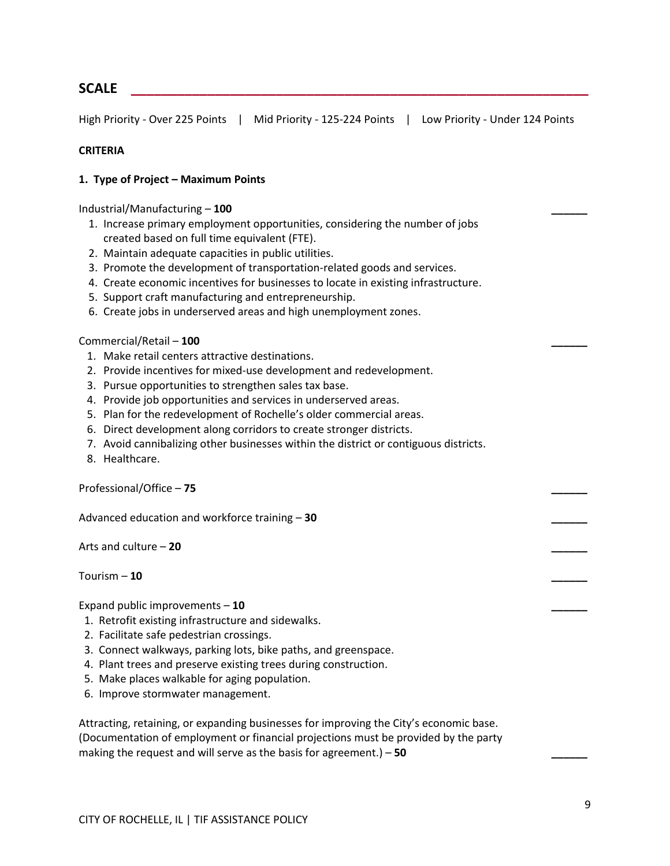# **SCALE \_\_\_\_\_\_\_\_\_\_\_\_\_\_\_\_\_\_\_\_\_\_\_\_\_\_\_\_\_\_\_\_\_\_\_\_\_\_\_\_\_\_\_\_\_\_\_\_\_\_\_\_\_\_\_\_\_\_\_\_**

High Priority - Over 225 Points | Mid Priority - 125-224 Points | Low Priority - Under 124 Points

### **CRITERIA**

## **1. Type of Project – Maximum Points**

Industrial/Manufacturing – **100 \_\_\_\_\_\_**

- 1. Increase primary employment opportunities, considering the number of jobs created based on full time equivalent (FTE).
- 2. Maintain adequate capacities in public utilities.
- 3. Promote the development of transportation-related goods and services.
- 4. Create economic incentives for businesses to locate in existing infrastructure.
- 5. Support craft manufacturing and entrepreneurship.
- 6. Create jobs in underserved areas and high unemployment zones.

#### Commercial/Retail – **100 \_\_\_\_\_\_**

- 1. Make retail centers attractive destinations.
- 2. Provide incentives for mixed-use development and redevelopment.
- 3. Pursue opportunities to strengthen sales tax base.
- 4. Provide job opportunities and services in underserved areas.
- 5. Plan for the redevelopment of Rochelle's older commercial areas.
- 6. Direct development along corridors to create stronger districts.
- 7. Avoid cannibalizing other businesses within the district or contiguous districts.
- 8. Healthcare.

Professional/Office – **75 \_\_\_\_\_\_**

Advanced education and workforce training – **30 \_\_\_\_\_\_**

Arts and culture - 20

## Tourism – **10 \_\_\_\_\_\_**

Expand public improvements - 10

- 1.Retrofit existing infrastructure and sidewalks.
- 2. Facilitate safe pedestrian crossings.
- 3. Connect walkways, parking lots, bike paths, and greenspace.
- 4. Plant trees and preserve existing trees during construction.
- 5. Make places walkable for aging population.
- 6. Improve stormwater management.

Attracting, retaining, or expanding businesses for improving the City's economic base. (Documentation of employment or financial projections must be provided by the party making the request and will serve as the basis for agreement.) - 50